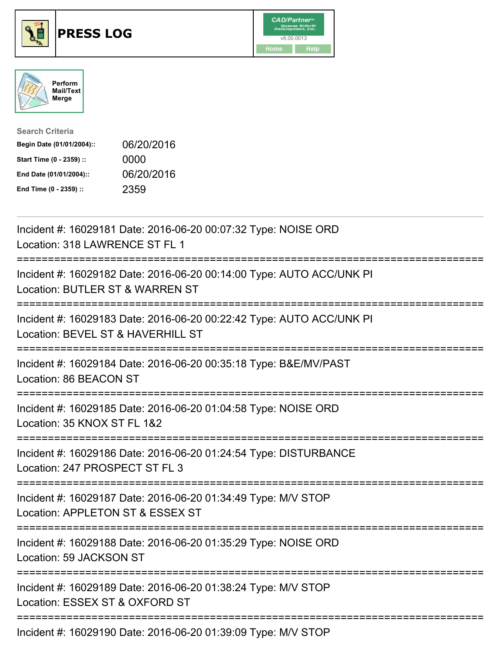





| <b>Search Criteria</b>    |            |
|---------------------------|------------|
| Begin Date (01/01/2004):: | 06/20/2016 |
| Start Time (0 - 2359) ::  | 0000       |
| End Date (01/01/2004)::   | 06/20/2016 |
| End Time (0 - 2359) ::    | 2359       |

| Incident #: 16029181 Date: 2016-06-20 00:07:32 Type: NOISE ORD<br>Location: 318 LAWRENCE ST FL 1                |
|-----------------------------------------------------------------------------------------------------------------|
| Incident #: 16029182 Date: 2016-06-20 00:14:00 Type: AUTO ACC/UNK PI<br>Location: BUTLER ST & WARREN ST         |
| Incident #: 16029183 Date: 2016-06-20 00:22:42 Type: AUTO ACC/UNK PI<br>Location: BEVEL ST & HAVERHILL ST       |
| Incident #: 16029184 Date: 2016-06-20 00:35:18 Type: B&E/MV/PAST<br>Location: 86 BEACON ST                      |
| Incident #: 16029185 Date: 2016-06-20 01:04:58 Type: NOISE ORD<br>Location: 35 KNOX ST FL 1&2<br>-------------- |
| Incident #: 16029186 Date: 2016-06-20 01:24:54 Type: DISTURBANCE<br>Location: 247 PROSPECT ST FL 3              |
| Incident #: 16029187 Date: 2016-06-20 01:34:49 Type: M/V STOP<br>Location: APPLETON ST & ESSEX ST               |
| Incident #: 16029188 Date: 2016-06-20 01:35:29 Type: NOISE ORD<br>Location: 59 JACKSON ST                       |
| Incident #: 16029189 Date: 2016-06-20 01:38:24 Type: M/V STOP<br>Location: ESSEX ST & OXFORD ST                 |
| Incident #: 16029190 Date: 2016-06-20 01:39:09 Type: M/V STOP                                                   |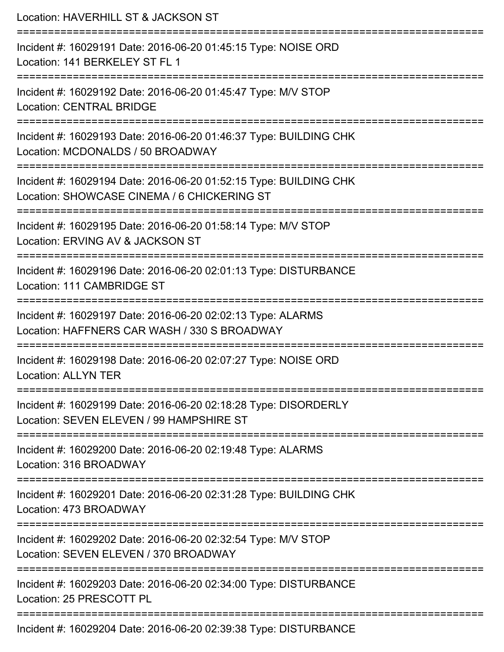| Location: HAVERHILL ST & JACKSON ST                                                                                                                          |
|--------------------------------------------------------------------------------------------------------------------------------------------------------------|
| Incident #: 16029191 Date: 2016-06-20 01:45:15 Type: NOISE ORD<br>Location: 141 BERKELEY ST FL 1                                                             |
| Incident #: 16029192 Date: 2016-06-20 01:45:47 Type: M/V STOP<br><b>Location: CENTRAL BRIDGE</b>                                                             |
| Incident #: 16029193 Date: 2016-06-20 01:46:37 Type: BUILDING CHK<br>Location: MCDONALDS / 50 BROADWAY                                                       |
| Incident #: 16029194 Date: 2016-06-20 01:52:15 Type: BUILDING CHK<br>Location: SHOWCASE CINEMA / 6 CHICKERING ST                                             |
| Incident #: 16029195 Date: 2016-06-20 01:58:14 Type: M/V STOP<br>Location: ERVING AV & JACKSON ST<br>================================                        |
| Incident #: 16029196 Date: 2016-06-20 02:01:13 Type: DISTURBANCE<br>Location: 111 CAMBRIDGE ST                                                               |
| Incident #: 16029197 Date: 2016-06-20 02:02:13 Type: ALARMS<br>Location: HAFFNERS CAR WASH / 330 S BROADWAY                                                  |
| Incident #: 16029198 Date: 2016-06-20 02:07:27 Type: NOISE ORD<br><b>Location: ALLYN TER</b>                                                                 |
| Incident #: 16029199 Date: 2016-06-20 02:18:28 Type: DISORDERLY<br>Location: SEVEN ELEVEN / 99 HAMPSHIRE ST                                                  |
| Incident #: 16029200 Date: 2016-06-20 02:19:48 Type: ALARMS<br>Location: 316 BROADWAY                                                                        |
| ====================================<br>---------------------<br>Incident #: 16029201 Date: 2016-06-20 02:31:28 Type: BUILDING CHK<br>Location: 473 BROADWAY |
| Incident #: 16029202 Date: 2016-06-20 02:32:54 Type: M/V STOP<br>Location: SEVEN ELEVEN / 370 BROADWAY                                                       |
| Incident #: 16029203 Date: 2016-06-20 02:34:00 Type: DISTURBANCE<br>Location: 25 PRESCOTT PL                                                                 |

Incident #: 16029204 Date: 2016-06-20 02:39:38 Type: DISTURBANCE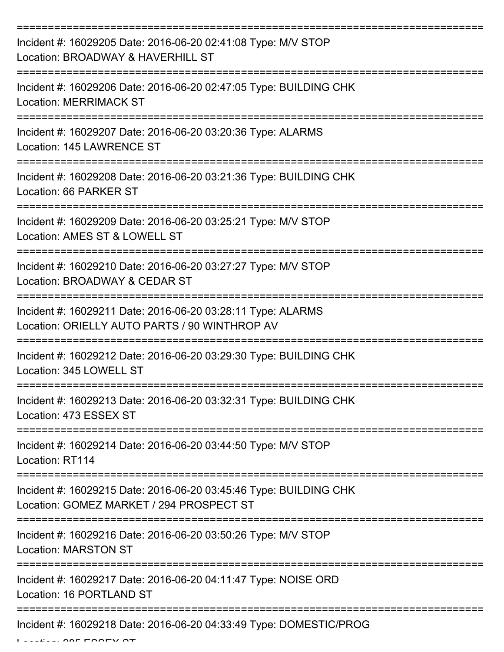| Incident #: 16029205 Date: 2016-06-20 02:41:08 Type: M/V STOP<br>Location: BROADWAY & HAVERHILL ST            |
|---------------------------------------------------------------------------------------------------------------|
| Incident #: 16029206 Date: 2016-06-20 02:47:05 Type: BUILDING CHK<br><b>Location: MERRIMACK ST</b>            |
| Incident #: 16029207 Date: 2016-06-20 03:20:36 Type: ALARMS<br>Location: 145 LAWRENCE ST                      |
| Incident #: 16029208 Date: 2016-06-20 03:21:36 Type: BUILDING CHK<br>Location: 66 PARKER ST                   |
| Incident #: 16029209 Date: 2016-06-20 03:25:21 Type: M/V STOP<br>Location: AMES ST & LOWELL ST                |
| Incident #: 16029210 Date: 2016-06-20 03:27:27 Type: M/V STOP<br>Location: BROADWAY & CEDAR ST                |
| Incident #: 16029211 Date: 2016-06-20 03:28:11 Type: ALARMS<br>Location: ORIELLY AUTO PARTS / 90 WINTHROP AV  |
| Incident #: 16029212 Date: 2016-06-20 03:29:30 Type: BUILDING CHK<br>Location: 345 LOWELL ST                  |
| Incident #: 16029213 Date: 2016-06-20 03:32:31 Type: BUILDING CHK<br>Location: 473 ESSEX ST                   |
| Incident #: 16029214 Date: 2016-06-20 03:44:50 Type: M/V STOP<br>Location: RT114                              |
| Incident #: 16029215 Date: 2016-06-20 03:45:46 Type: BUILDING CHK<br>Location: GOMEZ MARKET / 294 PROSPECT ST |
| Incident #: 16029216 Date: 2016-06-20 03:50:26 Type: M/V STOP<br><b>Location: MARSTON ST</b>                  |
| Incident #: 16029217 Date: 2016-06-20 04:11:47 Type: NOISE ORD<br>Location: 16 PORTLAND ST                    |
| Incident #: 16029218 Date: 2016-06-20 04:33:49 Type: DOMESTIC/PROG                                            |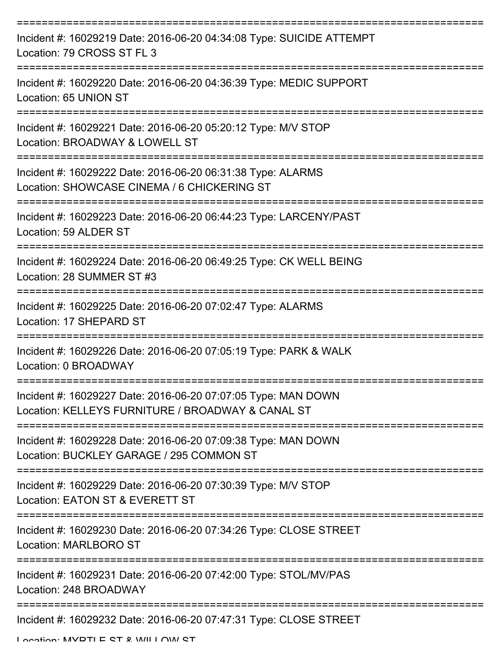| Incident #: 16029219 Date: 2016-06-20 04:34:08 Type: SUICIDE ATTEMPT<br>Location: 79 CROSS ST FL 3                 |
|--------------------------------------------------------------------------------------------------------------------|
| Incident #: 16029220 Date: 2016-06-20 04:36:39 Type: MEDIC SUPPORT<br>Location: 65 UNION ST                        |
| Incident #: 16029221 Date: 2016-06-20 05:20:12 Type: M/V STOP<br>Location: BROADWAY & LOWELL ST                    |
| Incident #: 16029222 Date: 2016-06-20 06:31:38 Type: ALARMS<br>Location: SHOWCASE CINEMA / 6 CHICKERING ST         |
| Incident #: 16029223 Date: 2016-06-20 06:44:23 Type: LARCENY/PAST<br>Location: 59 ALDER ST                         |
| Incident #: 16029224 Date: 2016-06-20 06:49:25 Type: CK WELL BEING<br>Location: 28 SUMMER ST #3                    |
| Incident #: 16029225 Date: 2016-06-20 07:02:47 Type: ALARMS<br>Location: 17 SHEPARD ST                             |
| Incident #: 16029226 Date: 2016-06-20 07:05:19 Type: PARK & WALK<br>Location: 0 BROADWAY                           |
| Incident #: 16029227 Date: 2016-06-20 07:07:05 Type: MAN DOWN<br>Location: KELLEYS FURNITURE / BROADWAY & CANAL ST |
| Incident #: 16029228 Date: 2016-06-20 07:09:38 Type: MAN DOWN<br>Location: BUCKLEY GARAGE / 295 COMMON ST          |
| Incident #: 16029229 Date: 2016-06-20 07:30:39 Type: M/V STOP<br>Location: EATON ST & EVERETT ST                   |
| Incident #: 16029230 Date: 2016-06-20 07:34:26 Type: CLOSE STREET<br>Location: MARLBORO ST                         |
| Incident #: 16029231 Date: 2016-06-20 07:42:00 Type: STOL/MV/PAS<br>Location: 248 BROADWAY                         |
| Incident #: 16029232 Date: 2016-06-20 07:47:31 Type: CLOSE STREET                                                  |

Location: MVDTLE CT & WILLOW CT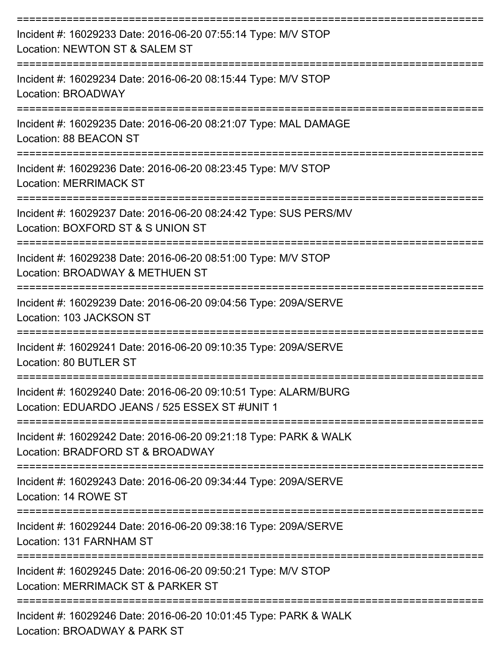| Incident #: 16029233 Date: 2016-06-20 07:55:14 Type: M/V STOP<br>Location: NEWTON ST & SALEM ST                          |
|--------------------------------------------------------------------------------------------------------------------------|
| Incident #: 16029234 Date: 2016-06-20 08:15:44 Type: M/V STOP<br>Location: BROADWAY                                      |
| Incident #: 16029235 Date: 2016-06-20 08:21:07 Type: MAL DAMAGE<br>Location: 88 BEACON ST                                |
| Incident #: 16029236 Date: 2016-06-20 08:23:45 Type: M/V STOP<br><b>Location: MERRIMACK ST</b>                           |
| ===============<br>Incident #: 16029237 Date: 2016-06-20 08:24:42 Type: SUS PERS/MV<br>Location: BOXFORD ST & S UNION ST |
| Incident #: 16029238 Date: 2016-06-20 08:51:00 Type: M/V STOP<br>Location: BROADWAY & METHUEN ST                         |
| Incident #: 16029239 Date: 2016-06-20 09:04:56 Type: 209A/SERVE<br>Location: 103 JACKSON ST                              |
| Incident #: 16029241 Date: 2016-06-20 09:10:35 Type: 209A/SERVE<br>Location: 80 BUTLER ST                                |
| Incident #: 16029240 Date: 2016-06-20 09:10:51 Type: ALARM/BURG<br>Location: EDUARDO JEANS / 525 ESSEX ST #UNIT 1        |
| Incident #: 16029242 Date: 2016-06-20 09:21:18 Type: PARK & WALK<br>Location: BRADFORD ST & BROADWAY                     |
| Incident #: 16029243 Date: 2016-06-20 09:34:44 Type: 209A/SERVE<br>Location: 14 ROWE ST                                  |
| Incident #: 16029244 Date: 2016-06-20 09:38:16 Type: 209A/SERVE<br>Location: 131 FARNHAM ST                              |
| Incident #: 16029245 Date: 2016-06-20 09:50:21 Type: M/V STOP<br>Location: MERRIMACK ST & PARKER ST                      |
| Incident #: 16029246 Date: 2016-06-20 10:01:45 Type: PARK & WALK<br>Location: BROADWAY & PARK ST                         |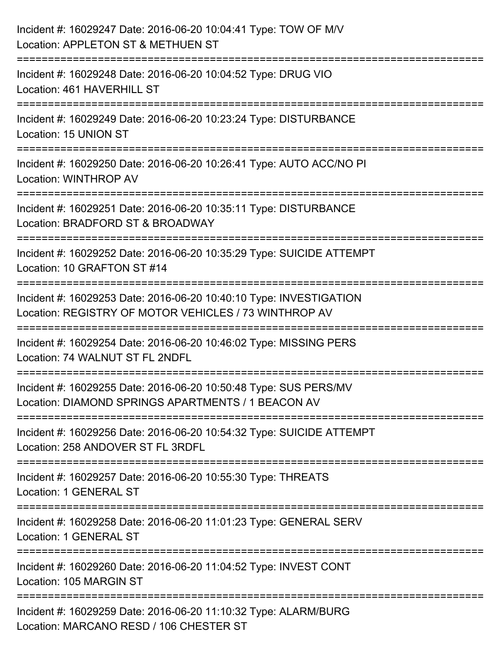| Incident #: 16029247 Date: 2016-06-20 10:04:41 Type: TOW OF M/V<br>Location: APPLETON ST & METHUEN ST                       |
|-----------------------------------------------------------------------------------------------------------------------------|
| Incident #: 16029248 Date: 2016-06-20 10:04:52 Type: DRUG VIO<br>Location: 461 HAVERHILL ST                                 |
| Incident #: 16029249 Date: 2016-06-20 10:23:24 Type: DISTURBANCE<br>Location: 15 UNION ST                                   |
| Incident #: 16029250 Date: 2016-06-20 10:26:41 Type: AUTO ACC/NO PI<br>Location: WINTHROP AV                                |
| Incident #: 16029251 Date: 2016-06-20 10:35:11 Type: DISTURBANCE<br>Location: BRADFORD ST & BROADWAY                        |
| Incident #: 16029252 Date: 2016-06-20 10:35:29 Type: SUICIDE ATTEMPT<br>Location: 10 GRAFTON ST #14                         |
| Incident #: 16029253 Date: 2016-06-20 10:40:10 Type: INVESTIGATION<br>Location: REGISTRY OF MOTOR VEHICLES / 73 WINTHROP AV |
| Incident #: 16029254 Date: 2016-06-20 10:46:02 Type: MISSING PERS<br>Location: 74 WALNUT ST FL 2NDFL                        |
| Incident #: 16029255 Date: 2016-06-20 10:50:48 Type: SUS PERS/MV<br>Location: DIAMOND SPRINGS APARTMENTS / 1 BEACON AV      |
| Incident #: 16029256 Date: 2016-06-20 10:54:32 Type: SUICIDE ATTEMPT<br>Location: 258 ANDOVER ST FL 3RDFL                   |
| Incident #: 16029257 Date: 2016-06-20 10:55:30 Type: THREATS<br>Location: 1 GENERAL ST                                      |
| Incident #: 16029258 Date: 2016-06-20 11:01:23 Type: GENERAL SERV<br>Location: 1 GENERAL ST                                 |
| Incident #: 16029260 Date: 2016-06-20 11:04:52 Type: INVEST CONT<br>Location: 105 MARGIN ST                                 |
| Incident #: 16029259 Date: 2016-06-20 11:10:32 Type: ALARM/BURG<br>Location: MARCANO RESD / 106 CHESTER ST                  |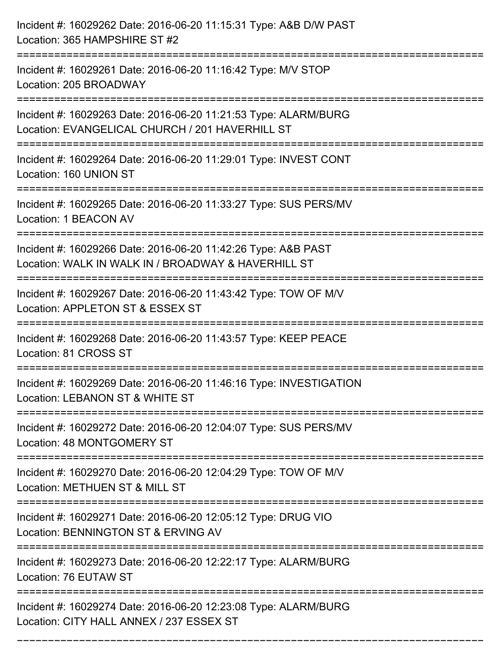| Incident #: 16029262 Date: 2016-06-20 11:15:31 Type: A&B D/W PAST<br>Location: 365 HAMPSHIRE ST #2                   |
|----------------------------------------------------------------------------------------------------------------------|
| .-----------------------<br>Incident #: 16029261 Date: 2016-06-20 11:16:42 Type: M/V STOP<br>Location: 205 BROADWAY  |
| Incident #: 16029263 Date: 2016-06-20 11:21:53 Type: ALARM/BURG<br>Location: EVANGELICAL CHURCH / 201 HAVERHILL ST   |
| Incident #: 16029264 Date: 2016-06-20 11:29:01 Type: INVEST CONT<br>Location: 160 UNION ST                           |
| Incident #: 16029265 Date: 2016-06-20 11:33:27 Type: SUS PERS/MV<br>Location: 1 BEACON AV                            |
| Incident #: 16029266 Date: 2016-06-20 11:42:26 Type: A&B PAST<br>Location: WALK IN WALK IN / BROADWAY & HAVERHILL ST |
| Incident #: 16029267 Date: 2016-06-20 11:43:42 Type: TOW OF M/V<br>Location: APPLETON ST & ESSEX ST<br>============  |
| Incident #: 16029268 Date: 2016-06-20 11:43:57 Type: KEEP PEACE<br>Location: 81 CROSS ST                             |
| Incident #: 16029269 Date: 2016-06-20 11:46:16 Type: INVESTIGATION<br>Location: LEBANON ST & WHITE ST                |
| Incident #: 16029272 Date: 2016-06-20 12:04:07 Type: SUS PERS/MV<br>Location: 48 MONTGOMERY ST                       |
| Incident #: 16029270 Date: 2016-06-20 12:04:29 Type: TOW OF M/V<br>Location: METHUEN ST & MILL ST                    |
| Incident #: 16029271 Date: 2016-06-20 12:05:12 Type: DRUG VIO<br>Location: BENNINGTON ST & ERVING AV                 |
| Incident #: 16029273 Date: 2016-06-20 12:22:17 Type: ALARM/BURG<br>Location: 76 EUTAW ST                             |
| Incident #: 16029274 Date: 2016-06-20 12:23:08 Type: ALARM/BURG<br>Location: CITY HALL ANNEX / 237 ESSEX ST          |

===========================================================================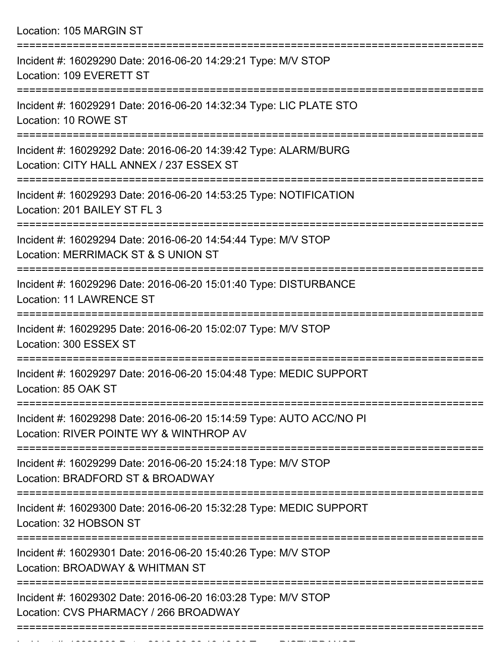Location: 105 MARGIN ST

| Incident #: 16029290 Date: 2016-06-20 14:29:21 Type: M/V STOP<br>Location: 109 EVERETT ST                      |
|----------------------------------------------------------------------------------------------------------------|
| Incident #: 16029291 Date: 2016-06-20 14:32:34 Type: LIC PLATE STO<br>Location: 10 ROWE ST                     |
| Incident #: 16029292 Date: 2016-06-20 14:39:42 Type: ALARM/BURG<br>Location: CITY HALL ANNEX / 237 ESSEX ST    |
| Incident #: 16029293 Date: 2016-06-20 14:53:25 Type: NOTIFICATION<br>Location: 201 BAILEY ST FL 3              |
| Incident #: 16029294 Date: 2016-06-20 14:54:44 Type: M/V STOP<br>Location: MERRIMACK ST & S UNION ST           |
| Incident #: 16029296 Date: 2016-06-20 15:01:40 Type: DISTURBANCE<br><b>Location: 11 LAWRENCE ST</b>            |
| Incident #: 16029295 Date: 2016-06-20 15:02:07 Type: M/V STOP<br>Location: 300 ESSEX ST                        |
| Incident #: 16029297 Date: 2016-06-20 15:04:48 Type: MEDIC SUPPORT<br>Location: 85 OAK ST                      |
| Incident #: 16029298 Date: 2016-06-20 15:14:59 Type: AUTO ACC/NO PI<br>Location: RIVER POINTE WY & WINTHROP AV |
| Incident #: 16029299 Date: 2016-06-20 15:24:18 Type: M/V STOP<br>Location: BRADFORD ST & BROADWAY              |
| Incident #: 16029300 Date: 2016-06-20 15:32:28 Type: MEDIC SUPPORT<br>Location: 32 HOBSON ST                   |
| Incident #: 16029301 Date: 2016-06-20 15:40:26 Type: M/V STOP<br>Location: BROADWAY & WHITMAN ST               |
| Incident #: 16029302 Date: 2016-06-20 16:03:28 Type: M/V STOP<br>Location: CVS PHARMACY / 266 BROADWAY         |
|                                                                                                                |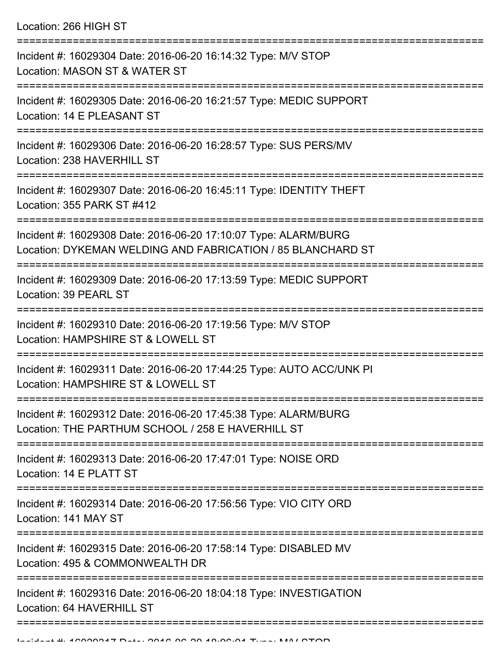Location: 266 HIGH ST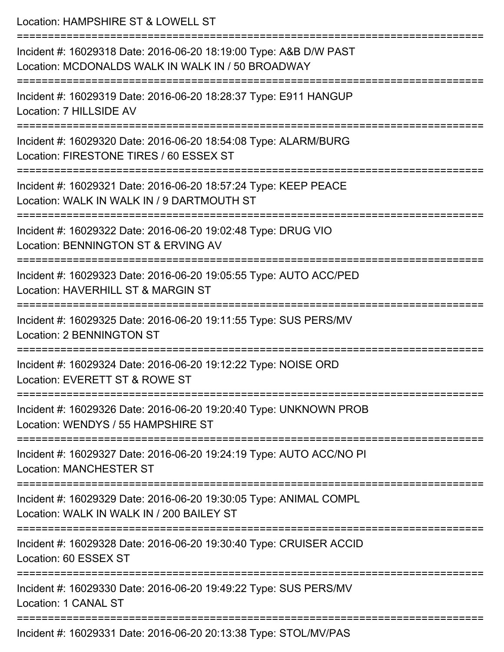Location: HAMPSHIRE ST & LOWELL ST =========================================================================== Incident #: 16029318 Date: 2016-06-20 18:19:00 Type: A&B D/W PAST Location: MCDONALDS WALK IN WALK IN / 50 BROADWAY =========================================================================== Incident #: 16029319 Date: 2016-06-20 18:28:37 Type: E911 HANGUP Location: 7 HILLSIDE AV =========================================================================== Incident #: 16029320 Date: 2016-06-20 18:54:08 Type: ALARM/BURG Location: FIRESTONE TIRES / 60 ESSEX ST =========================================================================== Incident #: 16029321 Date: 2016-06-20 18:57:24 Type: KEEP PEACE Location: WALK IN WALK IN / 9 DARTMOUTH ST =========================================================================== Incident #: 16029322 Date: 2016-06-20 19:02:48 Type: DRUG VIO Location: BENNINGTON ST & ERVING AV =========================================================================== Incident #: 16029323 Date: 2016-06-20 19:05:55 Type: AUTO ACC/PED Location: HAVERHILL ST & MARGIN ST =========================================================================== Incident #: 16029325 Date: 2016-06-20 19:11:55 Type: SUS PERS/MV Location: 2 BENNINGTON ST =========================================================================== Incident #: 16029324 Date: 2016-06-20 19:12:22 Type: NOISE ORD Location: EVERETT ST & ROWE ST =========================================================================== Incident #: 16029326 Date: 2016-06-20 19:20:40 Type: UNKNOWN PROB Location: WENDYS / 55 HAMPSHIRE ST =========================================================================== Incident #: 16029327 Date: 2016-06-20 19:24:19 Type: AUTO ACC/NO PI Location: MANCHESTER ST =========================================================================== Incident #: 16029329 Date: 2016-06-20 19:30:05 Type: ANIMAL COMPL Location: WALK IN WALK IN / 200 BAILEY ST =========================================================================== Incident #: 16029328 Date: 2016-06-20 19:30:40 Type: CRUISER ACCID Location: 60 ESSEX ST =========================================================================== Incident #: 16029330 Date: 2016-06-20 19:49:22 Type: SUS PERS/MV Location: 1 CANAL ST =========================================================================== Incident #: 16029331 Date: 2016-06-20 20:13:38 Type: STOL/MV/PAS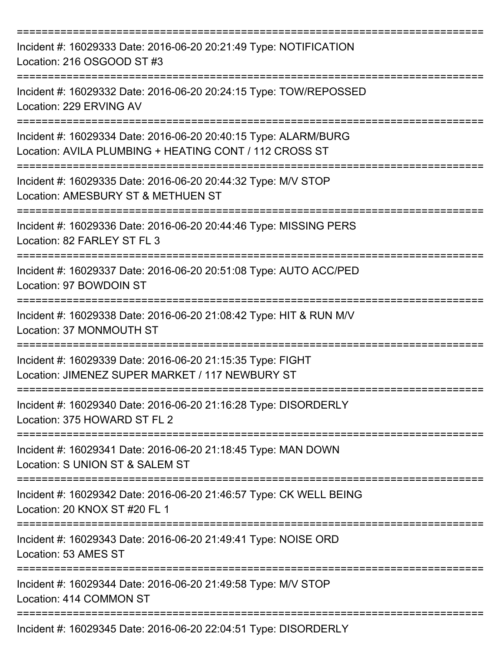| Incident #: 16029333 Date: 2016-06-20 20:21:49 Type: NOTIFICATION<br>Location: 216 OSGOOD ST #3                           |
|---------------------------------------------------------------------------------------------------------------------------|
| Incident #: 16029332 Date: 2016-06-20 20:24:15 Type: TOW/REPOSSED<br>Location: 229 ERVING AV                              |
| Incident #: 16029334 Date: 2016-06-20 20:40:15 Type: ALARM/BURG<br>Location: AVILA PLUMBING + HEATING CONT / 112 CROSS ST |
| Incident #: 16029335 Date: 2016-06-20 20:44:32 Type: M/V STOP<br>Location: AMESBURY ST & METHUEN ST                       |
| Incident #: 16029336 Date: 2016-06-20 20:44:46 Type: MISSING PERS<br>Location: 82 FARLEY ST FL 3                          |
| Incident #: 16029337 Date: 2016-06-20 20:51:08 Type: AUTO ACC/PED<br>Location: 97 BOWDOIN ST                              |
| Incident #: 16029338 Date: 2016-06-20 21:08:42 Type: HIT & RUN M/V<br>Location: 37 MONMOUTH ST                            |
| Incident #: 16029339 Date: 2016-06-20 21:15:35 Type: FIGHT<br>Location: JIMENEZ SUPER MARKET / 117 NEWBURY ST             |
| Incident #: 16029340 Date: 2016-06-20 21:16:28 Type: DISORDERLY<br>Location: 375 HOWARD ST FL 2                           |
| Incident #: 16029341 Date: 2016-06-20 21:18:45 Type: MAN DOWN<br>Location: S UNION ST & SALEM ST                          |
| Incident #: 16029342 Date: 2016-06-20 21:46:57 Type: CK WELL BEING<br>Location: 20 KNOX ST #20 FL 1                       |
| Incident #: 16029343 Date: 2016-06-20 21:49:41 Type: NOISE ORD<br>Location: 53 AMES ST                                    |
| Incident #: 16029344 Date: 2016-06-20 21:49:58 Type: M/V STOP<br>Location: 414 COMMON ST                                  |
| Incident #: 16029345 Date: 2016-06-20 22:04:51 Type: DISORDERLY                                                           |